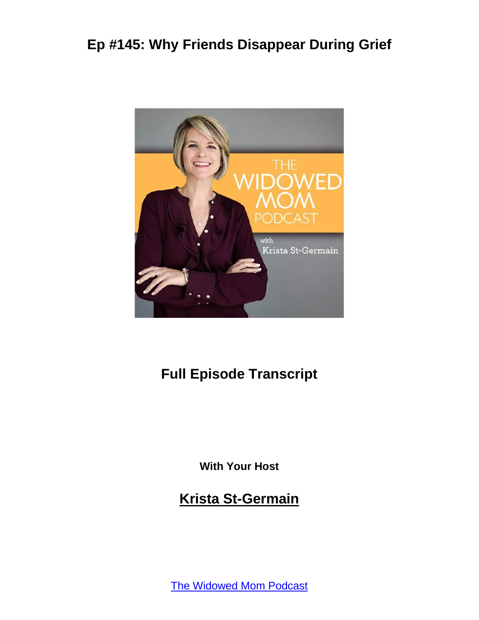

#### **Full Episode Transcript**

**With Your Host**

**Krista St-Germain**

[The Widowed Mom Podcast](https://coachingwithkrista.com/podcast)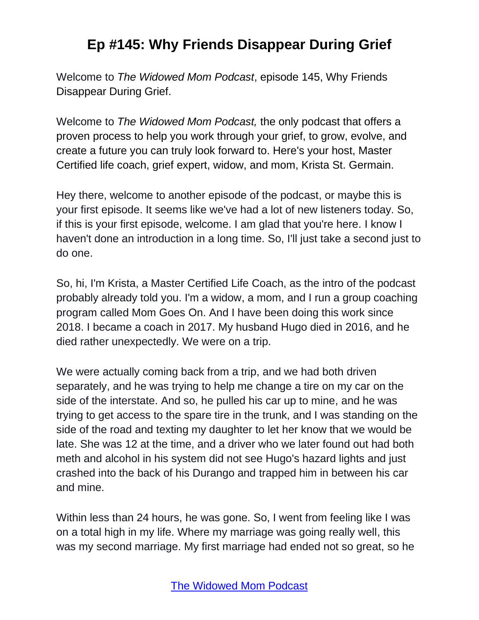Welcome to *The Widowed Mom Podcast*, episode 145, Why Friends Disappear During Grief.

Welcome to *The Widowed Mom Podcast,* the only podcast that offers a proven process to help you work through your grief, to grow, evolve, and create a future you can truly look forward to. Here's your host, Master Certified life coach, grief expert, widow, and mom, Krista St. Germain.

Hey there, welcome to another episode of the podcast, or maybe this is your first episode. It seems like we've had a lot of new listeners today. So, if this is your first episode, welcome. I am glad that you're here. I know I haven't done an introduction in a long time. So, I'll just take a second just to do one.

So, hi, I'm Krista, a Master Certified Life Coach, as the intro of the podcast probably already told you. I'm a widow, a mom, and I run a group coaching program called Mom Goes On. And I have been doing this work since 2018. I became a coach in 2017. My husband Hugo died in 2016, and he died rather unexpectedly. We were on a trip.

We were actually coming back from a trip, and we had both driven separately, and he was trying to help me change a tire on my car on the side of the interstate. And so, he pulled his car up to mine, and he was trying to get access to the spare tire in the trunk, and I was standing on the side of the road and texting my daughter to let her know that we would be late. She was 12 at the time, and a driver who we later found out had both meth and alcohol in his system did not see Hugo's hazard lights and just crashed into the back of his Durango and trapped him in between his car and mine.

Within less than 24 hours, he was gone. So, I went from feeling like I was on a total high in my life. Where my marriage was going really well, this was my second marriage. My first marriage had ended not so great, so he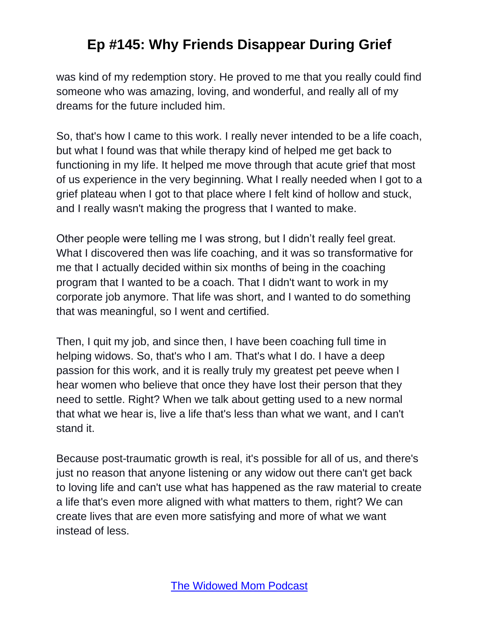was kind of my redemption story. He proved to me that you really could find someone who was amazing, loving, and wonderful, and really all of my dreams for the future included him.

So, that's how I came to this work. I really never intended to be a life coach, but what I found was that while therapy kind of helped me get back to functioning in my life. It helped me move through that acute grief that most of us experience in the very beginning. What I really needed when I got to a grief plateau when I got to that place where I felt kind of hollow and stuck, and I really wasn't making the progress that I wanted to make.

Other people were telling me I was strong, but I didn't really feel great. What I discovered then was life coaching, and it was so transformative for me that I actually decided within six months of being in the coaching program that I wanted to be a coach. That I didn't want to work in my corporate job anymore. That life was short, and I wanted to do something that was meaningful, so I went and certified.

Then, I quit my job, and since then, I have been coaching full time in helping widows. So, that's who I am. That's what I do. I have a deep passion for this work, and it is really truly my greatest pet peeve when I hear women who believe that once they have lost their person that they need to settle. Right? When we talk about getting used to a new normal that what we hear is, live a life that's less than what we want, and I can't stand it.

Because post-traumatic growth is real, it's possible for all of us, and there's just no reason that anyone listening or any widow out there can't get back to loving life and can't use what has happened as the raw material to create a life that's even more aligned with what matters to them, right? We can create lives that are even more satisfying and more of what we want instead of less.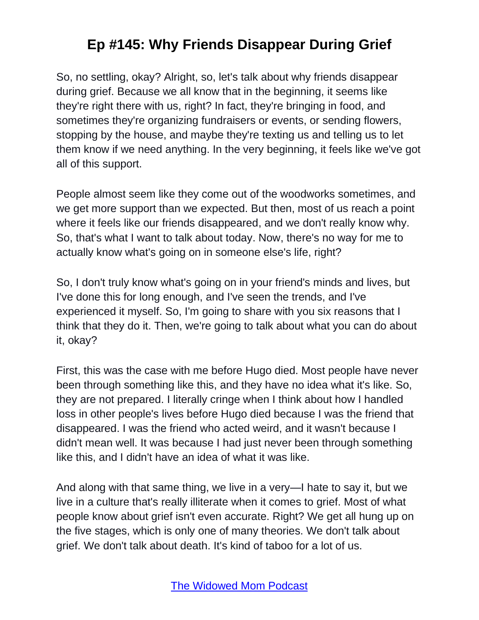So, no settling, okay? Alright, so, let's talk about why friends disappear during grief. Because we all know that in the beginning, it seems like they're right there with us, right? In fact, they're bringing in food, and sometimes they're organizing fundraisers or events, or sending flowers, stopping by the house, and maybe they're texting us and telling us to let them know if we need anything. In the very beginning, it feels like we've got all of this support.

People almost seem like they come out of the woodworks sometimes, and we get more support than we expected. But then, most of us reach a point where it feels like our friends disappeared, and we don't really know why. So, that's what I want to talk about today. Now, there's no way for me to actually know what's going on in someone else's life, right?

So, I don't truly know what's going on in your friend's minds and lives, but I've done this for long enough, and I've seen the trends, and I've experienced it myself. So, I'm going to share with you six reasons that I think that they do it. Then, we're going to talk about what you can do about it, okay?

First, this was the case with me before Hugo died. Most people have never been through something like this, and they have no idea what it's like. So, they are not prepared. I literally cringe when I think about how I handled loss in other people's lives before Hugo died because I was the friend that disappeared. I was the friend who acted weird, and it wasn't because I didn't mean well. It was because I had just never been through something like this, and I didn't have an idea of what it was like.

And along with that same thing, we live in a very—I hate to say it, but we live in a culture that's really illiterate when it comes to grief. Most of what people know about grief isn't even accurate. Right? We get all hung up on the five stages, which is only one of many theories. We don't talk about grief. We don't talk about death. It's kind of taboo for a lot of us.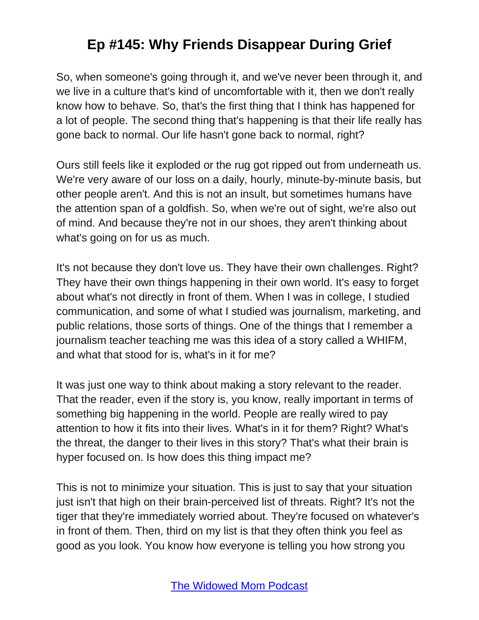So, when someone's going through it, and we've never been through it, and we live in a culture that's kind of uncomfortable with it, then we don't really know how to behave. So, that's the first thing that I think has happened for a lot of people. The second thing that's happening is that their life really has gone back to normal. Our life hasn't gone back to normal, right?

Ours still feels like it exploded or the rug got ripped out from underneath us. We're very aware of our loss on a daily, hourly, minute-by-minute basis, but other people aren't. And this is not an insult, but sometimes humans have the attention span of a goldfish. So, when we're out of sight, we're also out of mind. And because they're not in our shoes, they aren't thinking about what's going on for us as much.

It's not because they don't love us. They have their own challenges. Right? They have their own things happening in their own world. It's easy to forget about what's not directly in front of them. When I was in college, I studied communication, and some of what I studied was journalism, marketing, and public relations, those sorts of things. One of the things that I remember a journalism teacher teaching me was this idea of a story called a WHIFM, and what that stood for is, what's in it for me?

It was just one way to think about making a story relevant to the reader. That the reader, even if the story is, you know, really important in terms of something big happening in the world. People are really wired to pay attention to how it fits into their lives. What's in it for them? Right? What's the threat, the danger to their lives in this story? That's what their brain is hyper focused on. Is how does this thing impact me?

This is not to minimize your situation. This is just to say that your situation just isn't that high on their brain-perceived list of threats. Right? It's not the tiger that they're immediately worried about. They're focused on whatever's in front of them. Then, third on my list is that they often think you feel as good as you look. You know how everyone is telling you how strong you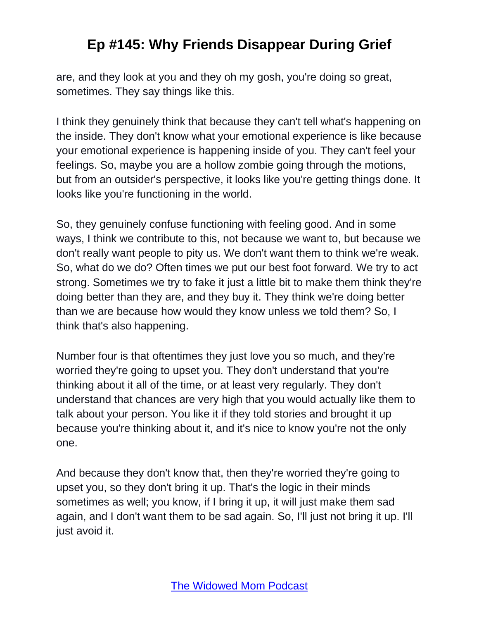are, and they look at you and they oh my gosh, you're doing so great, sometimes. They say things like this.

I think they genuinely think that because they can't tell what's happening on the inside. They don't know what your emotional experience is like because your emotional experience is happening inside of you. They can't feel your feelings. So, maybe you are a hollow zombie going through the motions, but from an outsider's perspective, it looks like you're getting things done. It looks like you're functioning in the world.

So, they genuinely confuse functioning with feeling good. And in some ways, I think we contribute to this, not because we want to, but because we don't really want people to pity us. We don't want them to think we're weak. So, what do we do? Often times we put our best foot forward. We try to act strong. Sometimes we try to fake it just a little bit to make them think they're doing better than they are, and they buy it. They think we're doing better than we are because how would they know unless we told them? So, I think that's also happening.

Number four is that oftentimes they just love you so much, and they're worried they're going to upset you. They don't understand that you're thinking about it all of the time, or at least very regularly. They don't understand that chances are very high that you would actually like them to talk about your person. You like it if they told stories and brought it up because you're thinking about it, and it's nice to know you're not the only one.

And because they don't know that, then they're worried they're going to upset you, so they don't bring it up. That's the logic in their minds sometimes as well; you know, if I bring it up, it will just make them sad again, and I don't want them to be sad again. So, I'll just not bring it up. I'll just avoid it.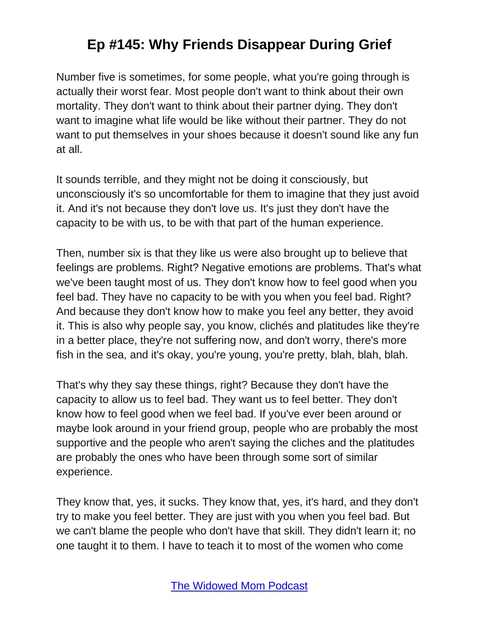Number five is sometimes, for some people, what you're going through is actually their worst fear. Most people don't want to think about their own mortality. They don't want to think about their partner dying. They don't want to imagine what life would be like without their partner. They do not want to put themselves in your shoes because it doesn't sound like any fun at all.

It sounds terrible, and they might not be doing it consciously, but unconsciously it's so uncomfortable for them to imagine that they just avoid it. And it's not because they don't love us. It's just they don't have the capacity to be with us, to be with that part of the human experience.

Then, number six is that they like us were also brought up to believe that feelings are problems. Right? Negative emotions are problems. That's what we've been taught most of us. They don't know how to feel good when you feel bad. They have no capacity to be with you when you feel bad. Right? And because they don't know how to make you feel any better, they avoid it. This is also why people say, you know, clichés and platitudes like they're in a better place, they're not suffering now, and don't worry, there's more fish in the sea, and it's okay, you're young, you're pretty, blah, blah, blah.

That's why they say these things, right? Because they don't have the capacity to allow us to feel bad. They want us to feel better. They don't know how to feel good when we feel bad. If you've ever been around or maybe look around in your friend group, people who are probably the most supportive and the people who aren't saying the cliches and the platitudes are probably the ones who have been through some sort of similar experience.

They know that, yes, it sucks. They know that, yes, it's hard, and they don't try to make you feel better. They are just with you when you feel bad. But we can't blame the people who don't have that skill. They didn't learn it; no one taught it to them. I have to teach it to most of the women who come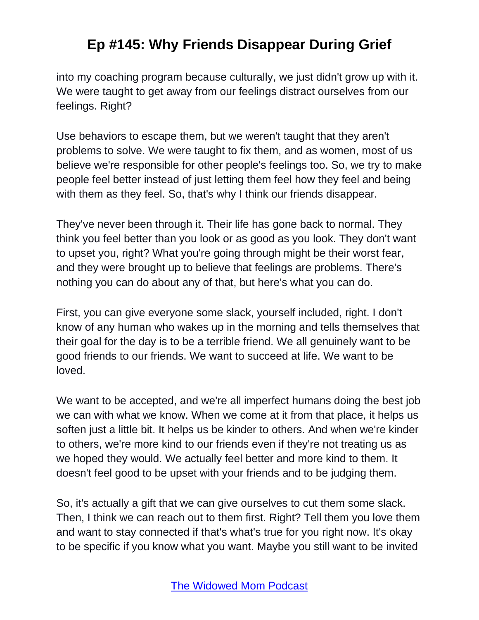into my coaching program because culturally, we just didn't grow up with it. We were taught to get away from our feelings distract ourselves from our feelings. Right?

Use behaviors to escape them, but we weren't taught that they aren't problems to solve. We were taught to fix them, and as women, most of us believe we're responsible for other people's feelings too. So, we try to make people feel better instead of just letting them feel how they feel and being with them as they feel. So, that's why I think our friends disappear.

They've never been through it. Their life has gone back to normal. They think you feel better than you look or as good as you look. They don't want to upset you, right? What you're going through might be their worst fear, and they were brought up to believe that feelings are problems. There's nothing you can do about any of that, but here's what you can do.

First, you can give everyone some slack, yourself included, right. I don't know of any human who wakes up in the morning and tells themselves that their goal for the day is to be a terrible friend. We all genuinely want to be good friends to our friends. We want to succeed at life. We want to be loved.

We want to be accepted, and we're all imperfect humans doing the best job we can with what we know. When we come at it from that place, it helps us soften just a little bit. It helps us be kinder to others. And when we're kinder to others, we're more kind to our friends even if they're not treating us as we hoped they would. We actually feel better and more kind to them. It doesn't feel good to be upset with your friends and to be judging them.

So, it's actually a gift that we can give ourselves to cut them some slack. Then, I think we can reach out to them first. Right? Tell them you love them and want to stay connected if that's what's true for you right now. It's okay to be specific if you know what you want. Maybe you still want to be invited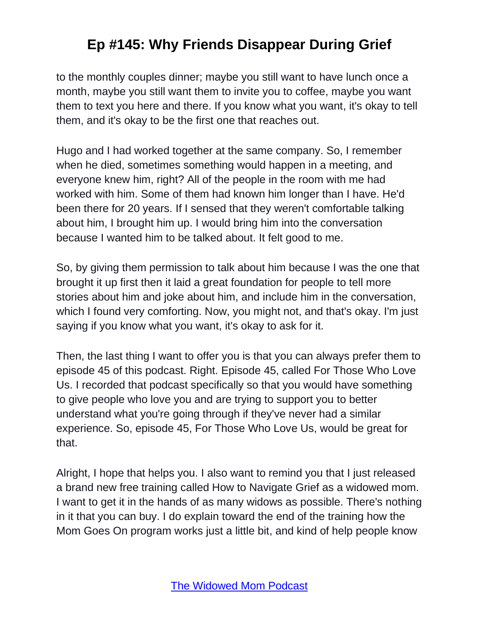to the monthly couples dinner; maybe you still want to have lunch once a month, maybe you still want them to invite you to coffee, maybe you want them to text you here and there. If you know what you want, it's okay to tell them, and it's okay to be the first one that reaches out.

Hugo and I had worked together at the same company. So, I remember when he died, sometimes something would happen in a meeting, and everyone knew him, right? All of the people in the room with me had worked with him. Some of them had known him longer than I have. He'd been there for 20 years. If I sensed that they weren't comfortable talking about him, I brought him up. I would bring him into the conversation because I wanted him to be talked about. It felt good to me.

So, by giving them permission to talk about him because I was the one that brought it up first then it laid a great foundation for people to tell more stories about him and joke about him, and include him in the conversation, which I found very comforting. Now, you might not, and that's okay. I'm just saying if you know what you want, it's okay to ask for it.

Then, the last thing I want to offer you is that you can always prefer them to episode 45 of this podcast. Right. Episode 45, called For Those Who Love Us. I recorded that podcast specifically so that you would have something to give people who love you and are trying to support you to better understand what you're going through if they've never had a similar experience. So, episode 45, For Those Who Love Us, would be great for that.

Alright, I hope that helps you. I also want to remind you that I just released a brand new free training called How to Navigate Grief as a widowed mom. I want to get it in the hands of as many widows as possible. There's nothing in it that you can buy. I do explain toward the end of the training how the Mom Goes On program works just a little bit, and kind of help people know